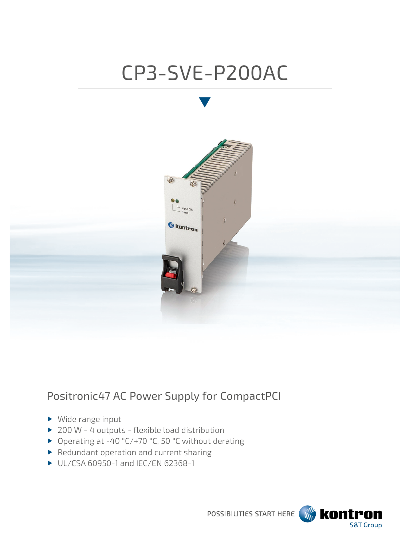# CP3-SVE-P200AC



## Positronic47 AC Power Supply for CompactPCI

- ▶ Wide range input
- ▶ 200 W 4 outputs flexible load distribution
- ▶ Operating at -40 °C/+70 °C, 50 °C without derating
- Redundant operation and current sharing
- UL/CSA 60950-1 and IEC/EN 62368-1

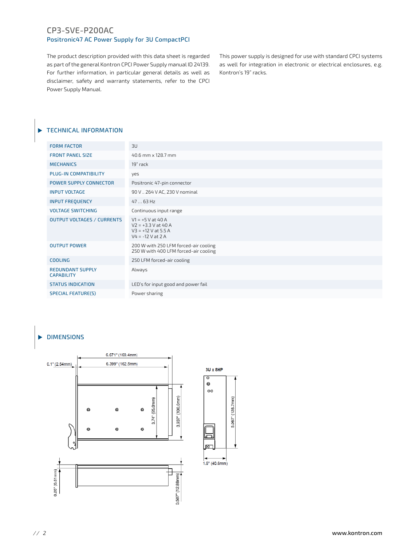#### CP3-SVE-P200AC Positronic47 AC Power Supply for 3U CompactPCI

The product description provided with this data sheet is regarded as part of the general Kontron CPCI Power Supply manual ID 24139. For further information, in particular general details as well as disclaimer, safety and warranty statements, refer to the CPCI Power Supply Manual.

This power supply is designed for use with standard CPCI systems as well for integration in electronic or electrical enclosures, e.g. Kontron's 19" racks.

#### **TECHNICAL INFORMATION**

| <b>FORM FACTOR</b>                           | 3U                                                                                           |
|----------------------------------------------|----------------------------------------------------------------------------------------------|
| <b>FRONT PANEL SIZE</b>                      | 40.6 mm x 128.7 mm                                                                           |
| <b>MECHANICS</b>                             | 19" rack                                                                                     |
| PLUG-IN COMPATIBILITY                        | yes                                                                                          |
| <b>POWER SUPPLY CONNECTOR</b>                | Positronic 47-pin connector                                                                  |
| <b>INPUT VOLTAGE</b>                         | 90 V  264 V AC, 230 V nominal                                                                |
| <b>INPUT FREQUENCY</b>                       | 47  63 Hz                                                                                    |
| <b>VOLTAGE SWITCHING</b>                     | Continuous input range                                                                       |
| <b>OUTPUT VOLTAGES / CURRENTS</b>            | $V1 = +5 V at 40 A$<br>$V2 = +3.3 V$ at 40 A<br>$V3 = +12 V$ at 5.5 A<br>$V4 = -12 V at 2 A$ |
| <b>OUTPUT POWER</b>                          | 200 W with 250 LFM forced-air cooling<br>250 W with 400 LFM forced-air cooling               |
| <b>COOLING</b>                               | 250 LFM forced-air cooling                                                                   |
| <b>REDUNDANT SUPPLY</b><br><b>CAPABILITY</b> | Always                                                                                       |
| <b>STATUS INDICATION</b>                     | LED's for input good and power fail                                                          |
| <b>SPECIAL FEATURE(S)</b>                    | Power sharing                                                                                |
|                                              |                                                                                              |

#### DIMENSIONS



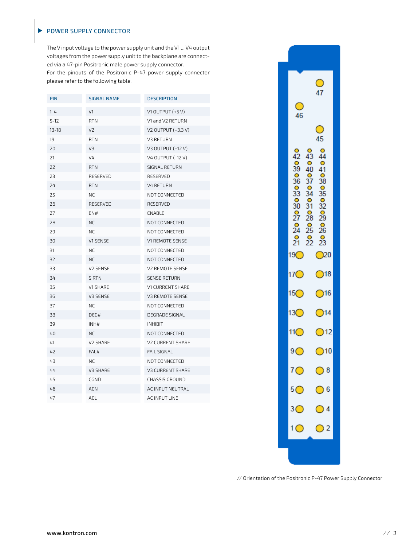#### POWER SUPPLY CONNECTOR

 $\blacktriangleright$ 

The V input voltage to the power supply unit and the V1 ... V4 output voltages from the power supply unit to the backplane are connected via a 47-pin Positronic male power supply connector. For the pinouts of the Positronic P-47 power supply connector please refer to the following table.

| PIN       | <b>SIGNAL NAME</b> | <b>DESCRIPTION</b>      |
|-----------|--------------------|-------------------------|
| $1 - 4$   | V1                 | V1 OUTPUT $(+5 V)$      |
| $5 - 12$  | <b>RTN</b>         | V1 and V2 RETURN        |
| $13 - 18$ | V2                 | V2 OUTPUT (+3.3 V)      |
| 19        | <b>RTN</b>         | V3 RETURN               |
| 20        | V3                 | V3 OUTPUT (+12 V)       |
| 21        | V <sub>4</sub>     | V4 OUTPUT (-12 V)       |
| 22        | <b>RTN</b>         | SIGNAL RETURN           |
| 23        | RESERVED           | RESERVED                |
| 24        | <b>RTN</b>         | <b>V4 RETURN</b>        |
| 25        | NC.                | NOT CONNECTED           |
| 26        | RESERVED           | RESERVED                |
| 27        | EN#                | ENABLE                  |
| 28        | NC                 | NOT CONNECTED           |
| 29        | <b>NC</b>          | NOT CONNECTED           |
| 30        | V1 SENSE           | V1 REMOTE SENSE         |
| 31        | NC                 | NOT CONNECTED           |
| 32        | ΝC                 | NOT CONNECTED           |
| 33        | V2 SENSE           | V2 REMOTE SENSE         |
| 34        | S RTN              | <b>SENSE RETURN</b>     |
| 35        | V1 SHARE           | <b>V1 CURRENT SHARE</b> |
| 36        | V3 SENSE           | V3 REMOTE SENSE         |
| 37        | NC                 | NOT CONNECTED           |
| 38        | DEG#               | DEGRADE SIGNAL          |
| 39        | INH#               | <b>INHIBIT</b>          |
| 40        | NC.                | NOT CONNECTED           |
| 41        | V2 SHARE           | <b>V2 CURRENT SHARE</b> |
| 42        | FAL#               | <b>FAIL SIGNAL</b>      |
| 43        | NC                 | NOT CONNECTED           |
| 44        | V3 SHARE           | V3 CURRENT SHARE        |
| 45        | CGND               | <b>CHASSIS GROUND</b>   |
| 46        | <b>ACN</b>         | AC INPUT NEUTRAL        |
| 47        | ACL                | AC INPUT LINE           |
|           |                    |                         |



// Orientation of the Positronic P-47 Power Supply Connector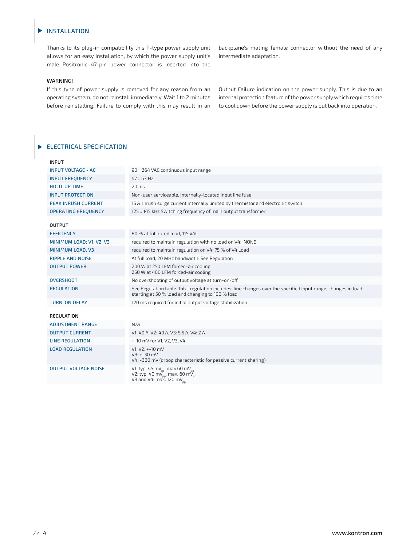#### INSTALLATION  $\blacktriangleright$

Thanks to its plug-in compatibility this P-type power supply unit allows for an easy installation, by which the power supply unit's male Positronic 47-pin power connector is inserted into the

#### WARNING!

If this type of power supply is removed for any reason from an operating system, do not reinstall immediately. Wait 1 to 2 minutes before reinstalling. Failure to comply with this may result in an backplane's mating female connector without the need of any intermediate adaptation.

Output Failure indication on the power supply. This is due to an internal protection feature of the power supply which requires time to cool down before the power supply is put back into operation.

#### ELECTRICAL SPECIFICATION

| <b>INPUT</b>                |                                                                                                                                                                    |
|-----------------------------|--------------------------------------------------------------------------------------------------------------------------------------------------------------------|
| <b>INPUT VOLTAGE - AC</b>   | 90  264 VAC continuous input range                                                                                                                                 |
| <b>INPUT FREOUENCY</b>      | 47.63 Hz                                                                                                                                                           |
| <b>HOLD-UP TIME</b>         | 20 <sub>ms</sub>                                                                                                                                                   |
| <b>INPUT PROTECTION</b>     | Non-user serviceable, internally-located input line fuse                                                                                                           |
| <b>PEAK INRUSH CURRENT</b>  | 15 A Inrush surge current internally limited by thermistor and electronic switch                                                                                   |
| <b>OPERATING FREQUENCY</b>  | 125  145 kHz Switching frequency of main output transformer                                                                                                        |
| <b>OUTPUT</b>               |                                                                                                                                                                    |
| <b>EFFICIENCY</b>           | 80 % at full rated load, 115 VAC                                                                                                                                   |
| MINIMUM LOAD; V1, V2, V3    | required to maintain regulation with no load on V4: NONE                                                                                                           |
| MINIMUM LOAD, V3            | required to maintain regulation on V4: 75 % of V4 Load                                                                                                             |
| <b>RIPPLE AND NOISE</b>     | At full load, 20 MHz bandwidth: See Regulation                                                                                                                     |
| <b>OUTPUT POWER</b>         | 200 W at 250 LFM forced-air cooling<br>250 W at 400 LFM forced-air cooling                                                                                         |
| <b>OVERSHOOT</b>            | No overshooting of output voltage at turn-on/off                                                                                                                   |
| <b>REGULATION</b>           | See Regulation table. Total regulation includes: line changes over the specified input range, changes in load<br>starting at 50 % load and changing to 100 % load. |
| <b>TURN-ON DELAY</b>        | 120 ms required for initial output voltage stabilization                                                                                                           |
| REGULATION                  |                                                                                                                                                                    |
| <b>ADJUSTMENT RANGE</b>     | N/A                                                                                                                                                                |
| <b>OUTPUT CURRENT</b>       | V1: 40 A, V2: 40 A, V3: 5.5 A, V4: 2 A                                                                                                                             |
| <b>LINE REGULATION</b>      | +-10 mV for V1, V2, V3, V4                                                                                                                                         |
| <b>LOAD REGULATION</b>      | $V1, V2: +-10$ mV<br>V3: +-30 mV<br>V4: -380 mV (droop characteristic for passive current sharing)                                                                 |
| <b>OUTPUT VOLTAGE NOISE</b> | V1: typ. 45 mV <sub>pp</sub> , max 60 mV <sub>pp</sub><br>V2: typ. 40 mV <sub>pp</sub> , max. 60 mV <sub>pp</sub><br>V3 and V4: $max$ , 120 mV <sub>pp</sub>       |
|                             |                                                                                                                                                                    |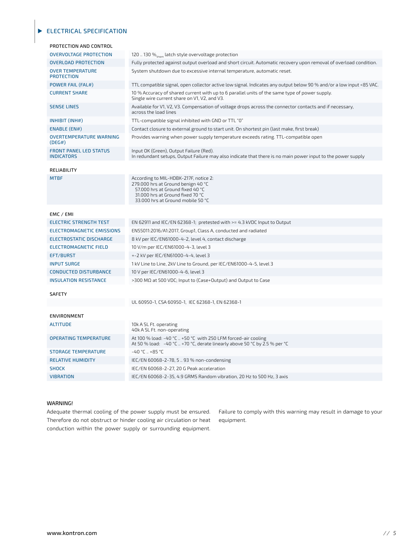#### ELECTRICAL SPECIFICATION

| PROTECTION AND CONTROL                             |                                                                                                                                                                                          |
|----------------------------------------------------|------------------------------------------------------------------------------------------------------------------------------------------------------------------------------------------|
| <b>OVERVOLTAGE PROTECTION</b>                      | 120  130 % atch style overvoltage protection                                                                                                                                             |
| <b>OVERLOAD PROTECTION</b>                         | Fully protected against output overload and short circuit. Automatic recovery upon removal of overload condition.                                                                        |
| <b>OVER TEMPERATURE</b><br><b>PROTECTION</b>       | System shutdown due to excessive internal temperature, automatic reset.                                                                                                                  |
| <b>POWER FAIL (FAL#)</b>                           | TTL compatible signal, open collector active low signal. Indicates any output below 90 % and/or a low input <85 VAC.                                                                     |
| <b>CURRENT SHARE</b>                               | 10 % Accuracy of shared current with up to 6 parallel units of the same type of power supply.<br>Single wire current share on V1, V2, and V3.                                            |
| <b>SENSE LINES</b>                                 | Available for V1, V2, V3. Compensation of voltage drops across the connector contacts and if necessary,<br>across the load lines                                                         |
| INHIBIT (INH#)                                     | TTL-compatible signal inhibited with GND or TTL "0"                                                                                                                                      |
| <b>ENABLE (EN#)</b>                                | Contact closure to external ground to start unit. On shortest pin (last make, first break)                                                                                               |
| <b>OVERTEMPERATURE WARNING</b><br>(DEG#)           | Provides warning when power supply temperature exceeds rating. TTL-compatible open                                                                                                       |
| <b>FRONT PANEL LED STATUS</b><br><b>INDICATORS</b> | Input OK (Green), Output Failure (Red).<br>In redundant setups, Output Failure may also indicate that there is no main power input to the power supply                                   |
| RELIABILITY                                        |                                                                                                                                                                                          |
| <b>MTBF</b>                                        | According to MIL-HDBK-217F, notice 2:<br>279.000 hrs at Ground benign 40 °C<br>57.000 hrs at Ground fixed 40 °C<br>31.000 hrs at Ground fixed 70 °C<br>33.000 hrs at Ground mobile 50 °C |
| EMC / EMI                                          |                                                                                                                                                                                          |
| <b>ELECTRIC STRENGTH TEST</b>                      | EN 62911 and IEC/EN 62368-1; pretested with $>= 4.3$ kVDC Input to Output                                                                                                                |
| <b>ELECTROMAGNETIC EMISSIONS</b>                   | EN55011:2016/A1:2017, Group1, Class A, conducted and radiated                                                                                                                            |
| <b>ELECTROSTATIC DISCHARGE</b>                     | 8 kV per IEC/EN61000-4-2, level 4, contact discharge                                                                                                                                     |
| <b>ELECTROMAGNETIC FIELD</b>                       | 10 V/m per IEC/EN61000-4-3, level 3                                                                                                                                                      |
| EFT/BURST                                          | +-2 kV per IEC/EN61000-4-4, level 3                                                                                                                                                      |
| <b>INPUT SURGE</b>                                 | 1 kV Line to Line, 2kV Line to Ground, per IEC/EN61000-4-5, level 3                                                                                                                      |
| <b>CONDUCTED DISTURBANCE</b>                       | 10 V per IEC/EN61000-4-6, level 3                                                                                                                                                        |
| <b>INSULATION RESISTANCE</b>                       | >300 MΩ at 500 VDC; Input to (Case+Output) and Output to Case                                                                                                                            |
| <b>SAFETY</b>                                      |                                                                                                                                                                                          |
|                                                    | UL 60950-1, CSA 60950-1, IEC 62368-1, EN 62368-1                                                                                                                                         |
| <b>ENVIRONMENT</b>                                 |                                                                                                                                                                                          |
| <b>ALTITUDE</b>                                    | 10k A SL Ft. operating<br>40k A SL Ft. non-operating                                                                                                                                     |
| <b>OPERATING TEMPERATURE</b>                       | At 100 % load: -40 °C  +50 °C with 250 LFM forced-air cooling<br>At 50 % load: -40 °C  +70 °C, derate linearly above 50 °C by 2.5 % per °C                                               |
| <b>STORAGE TEMPERATURE</b>                         | $-40 °C. +85 °C$                                                                                                                                                                         |
| <b>RELATIVE HUMIDITY</b>                           | IEC/EN 60068-2-78, 593% non-condensing                                                                                                                                                   |
| <b>SHOCK</b>                                       | IEC/EN 60068-2-27, 20 G Peak acceleration                                                                                                                                                |
| <b>VIBRATION</b>                                   | IEC/EN 60068-2-35, 4.9 GRMS Random vibration, 20 Hz to 500 Hz, 3 axis                                                                                                                    |
|                                                    |                                                                                                                                                                                          |

#### WARNING!

Adequate thermal cooling of the power supply must be ensured. Therefore do not obstruct or hinder cooling air circulation or heat conduction within the power supply or surrounding equipment.

Failure to comply with this warning may result in damage to your equipment.